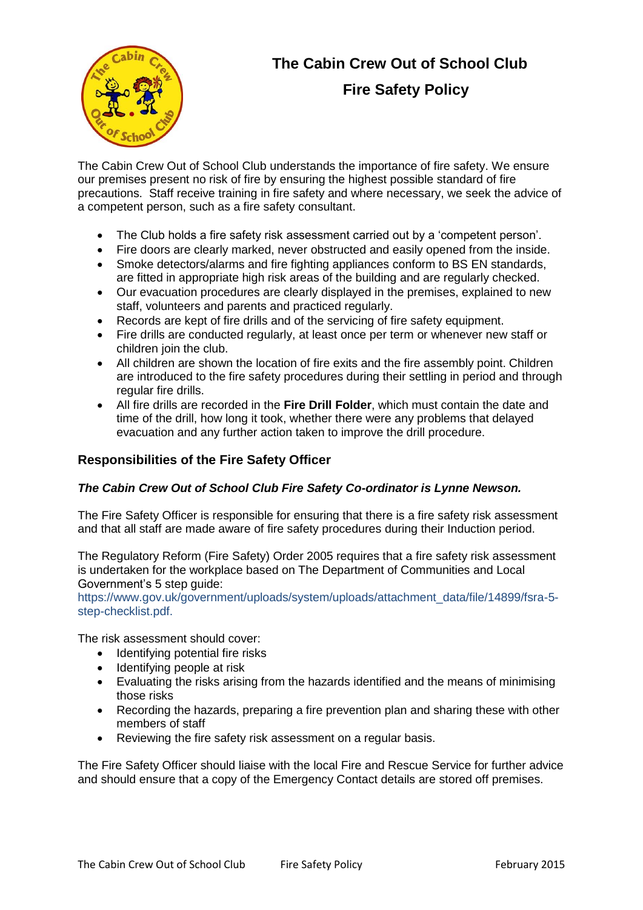

# **The Cabin Crew Out of School Club Fire Safety Policy**

The Cabin Crew Out of School Club understands the importance of fire safety. We ensure our premises present no risk of fire by ensuring the highest possible standard of fire precautions. Staff receive training in fire safety and where necessary, we seek the advice of a competent person, such as a fire safety consultant.

- The Club holds a fire safety risk assessment carried out by a 'competent person'.
- Fire doors are clearly marked, never obstructed and easily opened from the inside.
- Smoke detectors/alarms and fire fighting appliances conform to BS EN standards, are fitted in appropriate high risk areas of the building and are regularly checked.
- Our evacuation procedures are clearly displayed in the premises, explained to new staff, volunteers and parents and practiced regularly.
- Records are kept of fire drills and of the servicing of fire safety equipment.
- Fire drills are conducted regularly, at least once per term or whenever new staff or children join the club.
- All children are shown the location of fire exits and the fire assembly point. Children are introduced to the fire safety procedures during their settling in period and through regular fire drills.
- All fire drills are recorded in the **Fire Drill Folder**, which must contain the date and time of the drill, how long it took, whether there were any problems that delayed evacuation and any further action taken to improve the drill procedure.

## **Responsibilities of the Fire Safety Officer**

#### *The Cabin Crew Out of School Club Fire Safety Co-ordinator is Lynne Newson.*

The Fire Safety Officer is responsible for ensuring that there is a fire safety risk assessment and that all staff are made aware of fire safety procedures during their Induction period.

The Regulatory Reform (Fire Safety) Order 2005 requires that a fire safety risk assessment is undertaken for the workplace based on The Department of Communities and Local Government's 5 step guide:

https://www.gov.uk/government/uploads/system/uploads/attachment\_data/file/14899/fsra-5 step-checklist.pdf.

The risk assessment should cover:

- Identifying potential fire risks
- Identifying people at risk
- Evaluating the risks arising from the hazards identified and the means of minimising those risks
- Recording the hazards, preparing a fire prevention plan and sharing these with other members of staff
- Reviewing the fire safety risk assessment on a regular basis.

The Fire Safety Officer should liaise with the local Fire and Rescue Service for further advice and should ensure that a copy of the Emergency Contact details are stored off premises.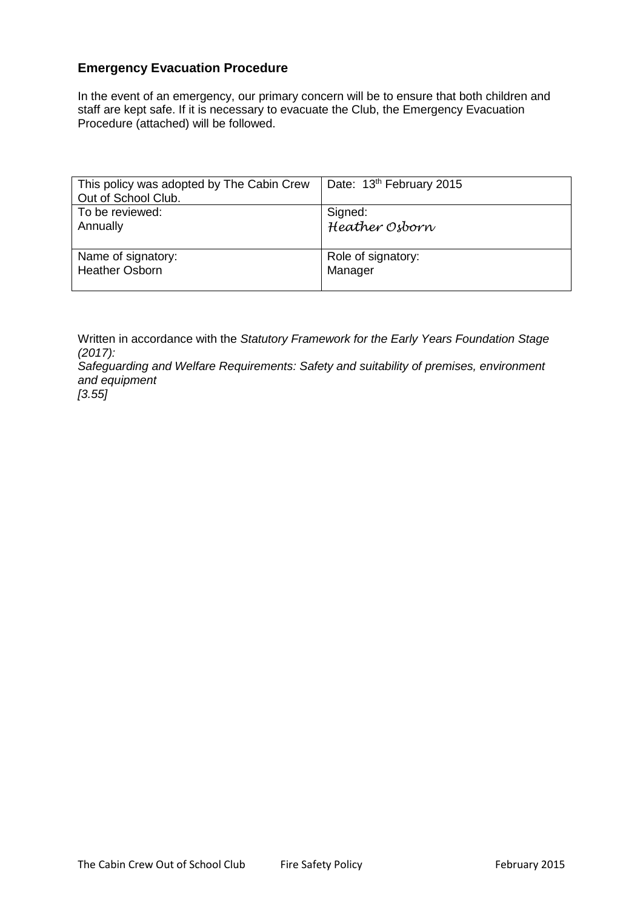### **Emergency Evacuation Procedure**

In the event of an emergency, our primary concern will be to ensure that both children and staff are kept safe. If it is necessary to evacuate the Club, the Emergency Evacuation Procedure (attached) will be followed.

| This policy was adopted by The Cabin Crew<br>Out of School Club. | Date: 13th February 2015 |
|------------------------------------------------------------------|--------------------------|
| To be reviewed:                                                  | Signed:                  |
| Annually                                                         | Heather Osborn           |
| Name of signatory:                                               | Role of signatory:       |
| <b>Heather Osborn</b>                                            | Manager                  |

Written in accordance with the *Statutory Framework for the Early Years Foundation Stage (2017): Safeguarding and Welfare Requirements: Safety and suitability of premises, environment and equipment*

*[3.55]*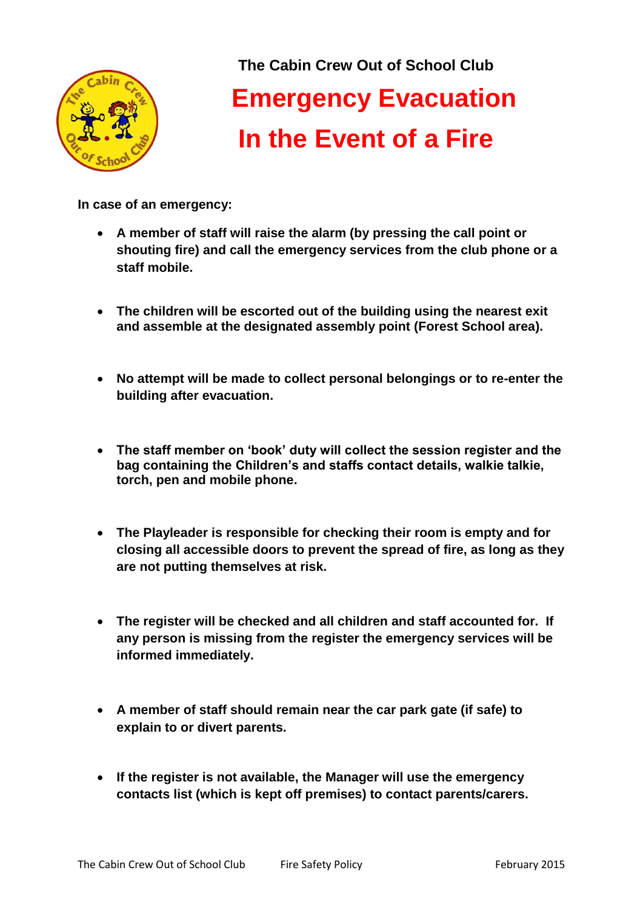

**The Cabin Crew Out of School Club Emergency Evacuation In the Event of a Fire**

**In case of an emergency:**

- **A member of staff will raise the alarm (by pressing the call point or shouting fire) and call the emergency services from the club phone or a staff mobile.**
- **The children will be escorted out of the building using the nearest exit and assemble at the designated assembly point (Forest School area).**
- **No attempt will be made to collect personal belongings or to re-enter the building after evacuation.**
- **The staff member on 'book' duty will collect the session register and the bag containing the Children's and staffs contact details, walkie talkie, torch, pen and mobile phone.**
- **The Playleader is responsible for checking their room is empty and for closing all accessible doors to prevent the spread of fire, as long as they are not putting themselves at risk.**
- **The register will be checked and all children and staff accounted for. If any person is missing from the register the emergency services will be informed immediately.**
- **A member of staff should remain near the car park gate (if safe) to explain to or divert parents.**
- **If the register is not available, the Manager will use the emergency contacts list (which is kept off premises) to contact parents/carers.**